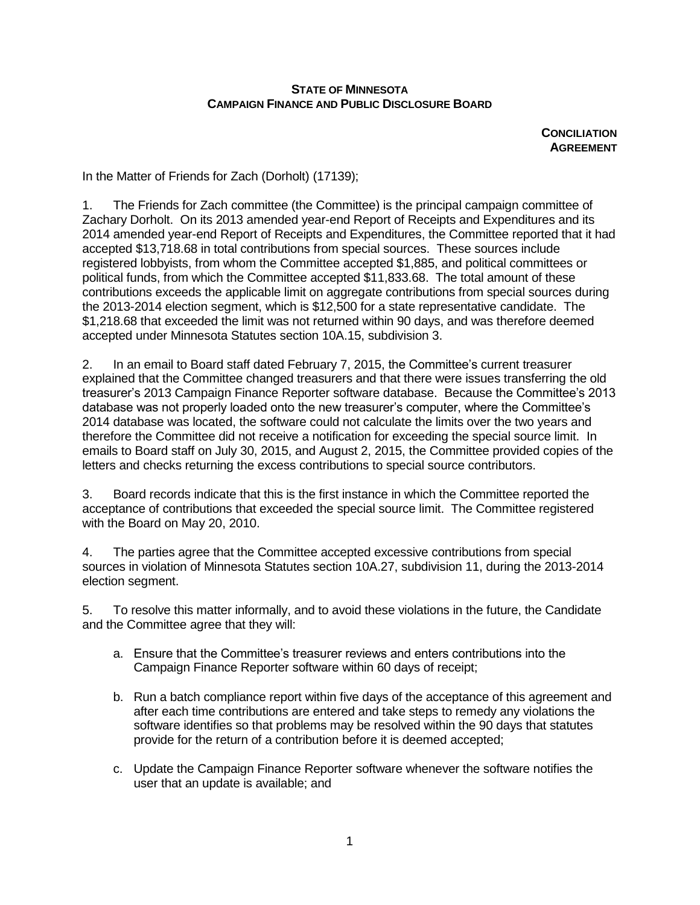## **STATE OF MINNESOTA CAMPAIGN FINANCE AND PUBLIC DISCLOSURE BOARD**

**CONCILIATION AGREEMENT**

In the Matter of Friends for Zach (Dorholt) (17139);

1. The Friends for Zach committee (the Committee) is the principal campaign committee of Zachary Dorholt. On its 2013 amended year-end Report of Receipts and Expenditures and its 2014 amended year-end Report of Receipts and Expenditures, the Committee reported that it had accepted \$13,718.68 in total contributions from special sources. These sources include registered lobbyists, from whom the Committee accepted \$1,885, and political committees or political funds, from which the Committee accepted \$11,833.68. The total amount of these contributions exceeds the applicable limit on aggregate contributions from special sources during the 2013-2014 election segment, which is \$12,500 for a state representative candidate. The \$1,218.68 that exceeded the limit was not returned within 90 days, and was therefore deemed accepted under Minnesota Statutes section 10A.15, subdivision 3.

2. In an email to Board staff dated February 7, 2015, the Committee's current treasurer explained that the Committee changed treasurers and that there were issues transferring the old treasurer's 2013 Campaign Finance Reporter software database. Because the Committee's 2013 database was not properly loaded onto the new treasurer's computer, where the Committee's 2014 database was located, the software could not calculate the limits over the two years and therefore the Committee did not receive a notification for exceeding the special source limit. In emails to Board staff on July 30, 2015, and August 2, 2015, the Committee provided copies of the letters and checks returning the excess contributions to special source contributors.

3. Board records indicate that this is the first instance in which the Committee reported the acceptance of contributions that exceeded the special source limit. The Committee registered with the Board on May 20, 2010.

4. The parties agree that the Committee accepted excessive contributions from special sources in violation of Minnesota Statutes section 10A.27, subdivision 11, during the 2013-2014 election segment.

5. To resolve this matter informally, and to avoid these violations in the future, the Candidate and the Committee agree that they will:

- a. Ensure that the Committee's treasurer reviews and enters contributions into the Campaign Finance Reporter software within 60 days of receipt;
- b. Run a batch compliance report within five days of the acceptance of this agreement and after each time contributions are entered and take steps to remedy any violations the software identifies so that problems may be resolved within the 90 days that statutes provide for the return of a contribution before it is deemed accepted;
- c. Update the Campaign Finance Reporter software whenever the software notifies the user that an update is available; and